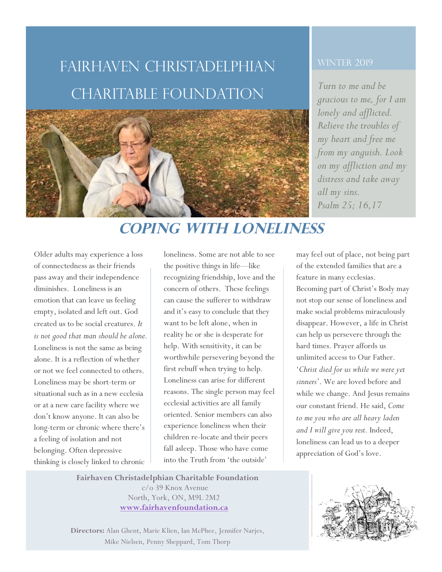# Fairhaven Christadelphian CHARITABLE FOUNDATION *Turn to me and be*



#### **WINTER 2019**

*gracious to me, for I am lonely and afflicted. Relieve the troubles of my heart and free me from my anguish. Look on my affliction and my distress and take away all my sins. Psalm 25; 16,17*

## **Coping With Loneliness**

Older adults may experience a loss of connectedness as their friends pass away and their independence diminishes. Loneliness is an emotion that can leave us feeling empty, isolated and left out. God created us to be social creatures. *It is not good that man should be alone.* Loneliness is not the same as being alone. It is a reflection of whether or not we feel connected to others. Loneliness may be short-term or situational such as in a new ecclesia or at a new care facility where we don't know anyone. It can also be long-term or chronic where there's a feeling of isolation and not belonging. Often depressive thinking is closely linked to chronic

1

3

2

loneliness. Some are not able to see the positive things in life—like recognizing friendship, love and the concern of others. These feelings can cause the sufferer to withdraw and it's easy to conclude that they want to be left alone, when in reality he or she is desperate for help. With sensitivity, it can be worthwhile persevering beyond the first rebuff when trying to help. Loneliness can arise for different reasons. The single person may feel ecclesial activities are all family oriented. Senior members can also experience loneliness when their children re-locate and their peers fall asleep. Those who have come into the Truth from 'the outside'

may feel out of place, not being part of the extended families that are a feature in many ecclesias. Becoming part of Christ's Body may not stop our sense of loneliness and make social problems miraculously disappear. However, a life in Christ can help us persevere through the hard times. Prayer affords us unlimited access to Our Father. '*Christ died for us while we were yet sinners'*. We are loved before and while we change. And Jesus remains our constant friend. He said, *Come to me you who are all heavy laden and I will give you rest.* Indeed, loneliness can lead us to a deeper appreciation of God's love.

**Fairhaven Christadelphian Charitable Foundation**  c/o 39 Knox Avenue North, York, ON, M9L 2M2 **www.fairhavenfoundation.ca** 

**Directors:** Alan Ghent, Marie Klien, Ian McPhee, Jennifer Narjes, Mike Nielsen, Penny Sheppard, Tom Thorp

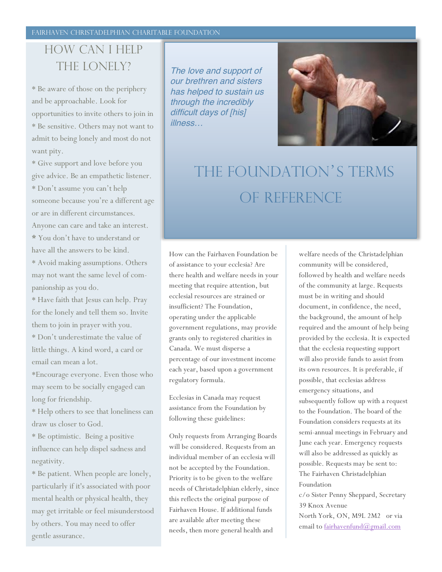#### FAIRHAVEN CHRISTADELPHIAN CHARITABLE FOUNDATION

## How Can I help THE LONELY?

\* Be aware of those on the periphery and be approachable. Look for opportunities to invite others to join in \* Be sensitive. Others may not want to admit to being lonely and most do not want pity.

\* Give support and love before you give advice. Be an empathetic listener. \* Don't assume you can't help someone because you're a different age or are in different circumstances. Anyone can care and take an interest. **\*** You don't have to understand or have all the answers to be kind.

\* Avoid making assumptions. Others may not want the same level of companionship as you do.

\* Have faith that Jesus can help. Pray for the lonely and tell them so. Invite them to join in prayer with you.

\* Don't underestimate the value of little things. A kind word, a card or email can mean a lot.

\*Encourage everyone. Even those who may seem to be socially engaged can long for friendship.

\* Help others to see that loneliness can draw us closer to God.

\* Be optimistic. Being a positive influence can help dispel sadness and negativity.

\* Be patient. When people are lonely, particularly if it's associated with poor mental health or physical health, they may get irritable or feel misunderstood by others. You may need to offer gentle assurance.

The love and support of our brethren and sisters has helped to sustain us through the incredibly difficult days of [his] illness…



# The Foundation's terms oF reference

How can the Fairhaven Foundation be of assistance to your ecclesia? Are there health and welfare needs in your meeting that require attention, but ecclesial resources are strained or insufficient? The Foundation, operating under the applicable government regulations, may provide grants only to registered charities in Canada. We must disperse a percentage of our investment income each year, based upon a government regulatory formula.

Ecclesias in Canada may request assistance from the Foundation by following these guidelines:

Only requests from Arranging Boards will be considered. Requests from an individual member of an ecclesia will not be accepted by the Foundation. Priority is to be given to the welfare needs of Christadelphian elderly, since this reflects the original purpose of Fairhaven House. If additional funds are available after meeting these needs, then more general health and

welfare needs of the Christadelphian community will be considered, followed by health and welfare needs of the community at large. Requests must be in writing and should document, in confidence, the need, the background, the amount of help required and the amount of help being provided by the ecclesia. It is expected that the ecclesia requesting support will also provide funds to assist from its own resources. It is preferable, if possible, that ecclesias address emergency situations, and subsequently follow up with a request to the Foundation. The board of the Foundation considers requests at its semi-annual meetings in February and June each year. Emergency requests will also be addressed as quickly as possible. Requests may be sent to: The Fairhaven Christadelphian Foundation c/o Sister Penny Sheppard, Secretary 39 Knox Avenue North York, ON, M9L 2M2 or via

email to fairhavenfund@gmail.com